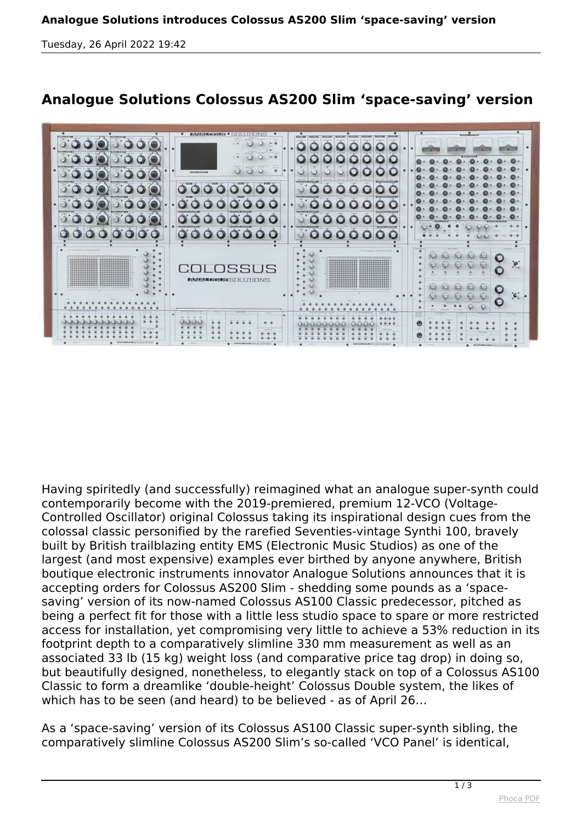*Tuesday, 26 April 2022 19:42*



## **Analogue Solutions Colossus AS200 Slim 'space-saving' version**

*Having spiritedly (and successfully) reimagined what an analogue super-synth could contemporarily become with the 2019-premiered, premium 12-VCO (Voltage-Controlled Oscillator) original Colossus taking its inspirational design cues from the colossal classic personified by the rarefied Seventies-vintage Synthi 100, bravely built by British trailblazing entity EMS (Electronic Music Studios) as one of the largest (and most expensive) examples ever birthed by anyone anywhere, British boutique electronic instruments innovator Analogue Solutions announces that it is accepting orders for Colossus AS200 Slim - shedding some pounds as a 'spacesaving' version of its now-named Colossus AS100 Classic predecessor, pitched as being a perfect fit for those with a little less studio space to spare or more restricted access for installation, yet compromising very little to achieve a 53% reduction in its footprint depth to a comparatively slimline 330 mm measurement as well as an associated 33 lb (15 kg) weight loss (and comparative price tag drop) in doing so, but beautifully designed, nonetheless, to elegantly stack on top of a Colossus AS100 Classic to form a dreamlike 'double-height' Colossus Double system, the likes of which has to be seen (and heard) to be believed - as of April 26…*

*As a 'space-saving' version of its Colossus AS100 Classic super-synth sibling, the comparatively slimline Colossus AS200 Slim's so-called 'VCO Panel' is identical,*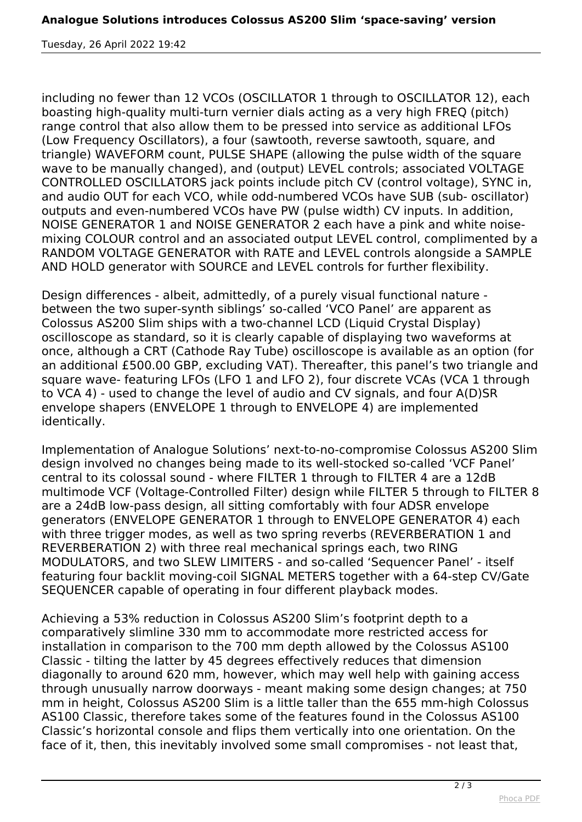*Tuesday, 26 April 2022 19:42*

*including no fewer than 12 VCOs (OSCILLATOR 1 through to OSCILLATOR 12), each boasting high-quality multi-turn vernier dials acting as a very high FREQ (pitch) range control that also allow them to be pressed into service as additional LFOs (Low Frequency Oscillators), a four (sawtooth, reverse sawtooth, square, and triangle) WAVEFORM count, PULSE SHAPE (allowing the pulse width of the square wave to be manually changed), and (output) LEVEL controls; associated VOLTAGE CONTROLLED OSCILLATORS jack points include pitch CV (control voltage), SYNC in, and audio OUT for each VCO, while odd-numbered VCOs have SUB (sub- oscillator) outputs and even-numbered VCOs have PW (pulse width) CV inputs. In addition, NOISE GENERATOR 1 and NOISE GENERATOR 2 each have a pink and white noisemixing COLOUR control and an associated output LEVEL control, complimented by a RANDOM VOLTAGE GENERATOR with RATE and LEVEL controls alongside a SAMPLE AND HOLD generator with SOURCE and LEVEL controls for further flexibility.*

*Design differences - albeit, admittedly, of a purely visual functional nature between the two super-synth siblings' so-called 'VCO Panel' are apparent as Colossus AS200 Slim ships with a two-channel LCD (Liquid Crystal Display) oscilloscope as standard, so it is clearly capable of displaying two waveforms at once, although a CRT (Cathode Ray Tube) oscilloscope is available as an option (for an additional £500.00 GBP, excluding VAT). Thereafter, this panel's two triangle and square wave- featuring LFOs (LFO 1 and LFO 2), four discrete VCAs (VCA 1 through to VCA 4) - used to change the level of audio and CV signals, and four A(D)SR envelope shapers (ENVELOPE 1 through to ENVELOPE 4) are implemented identically.*

*Implementation of Analogue Solutions' next-to-no-compromise Colossus AS200 Slim design involved no changes being made to its well-stocked so-called 'VCF Panel' central to its colossal sound - where FILTER 1 through to FILTER 4 are a 12dB multimode VCF (Voltage-Controlled Filter) design while FILTER 5 through to FILTER 8 are a 24dB low-pass design, all sitting comfortably with four ADSR envelope generators (ENVELOPE GENERATOR 1 through to ENVELOPE GENERATOR 4) each with three trigger modes, as well as two spring reverbs (REVERBERATION 1 and REVERBERATION 2) with three real mechanical springs each, two RING MODULATORS, and two SLEW LIMITERS - and so-called 'Sequencer Panel' - itself featuring four backlit moving-coil SIGNAL METERS together with a 64-step CV/Gate SEQUENCER capable of operating in four different playback modes.*

*Achieving a 53% reduction in Colossus AS200 Slim's footprint depth to a comparatively slimline 330 mm to accommodate more restricted access for installation in comparison to the 700 mm depth allowed by the Colossus AS100 Classic - tilting the latter by 45 degrees effectively reduces that dimension diagonally to around 620 mm, however, which may well help with gaining access through unusually narrow doorways - meant making some design changes; at 750 mm in height, Colossus AS200 Slim is a little taller than the 655 mm-high Colossus AS100 Classic, therefore takes some of the features found in the Colossus AS100 Classic's horizontal console and flips them vertically into one orientation. On the face of it, then, this inevitably involved some small compromises - not least that,*